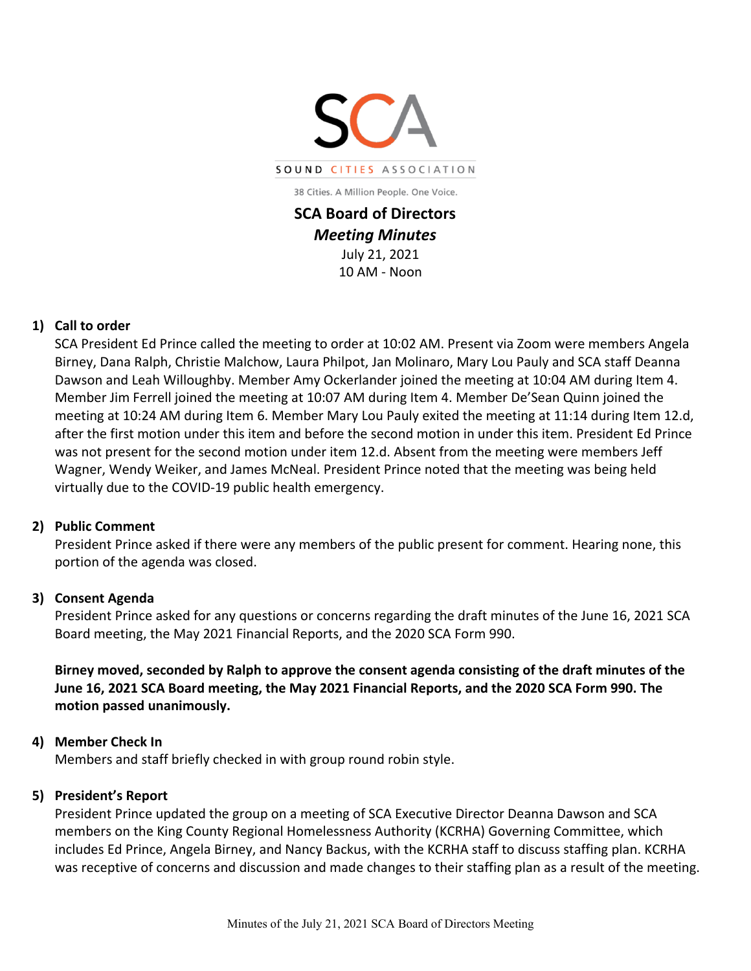

38 Cities. A Million People. One Voice.

**SCA Board of Directors** *Meeting Minutes* July 21, 2021 10 AM - Noon

## **1) Call to order**

SCA President Ed Prince called the meeting to order at 10:02 AM. Present via Zoom were members Angela Birney, Dana Ralph, Christie Malchow, Laura Philpot, Jan Molinaro, Mary Lou Pauly and SCA staff Deanna Dawson and Leah Willoughby. Member Amy Ockerlander joined the meeting at 10:04 AM during Item 4. Member Jim Ferrell joined the meeting at 10:07 AM during Item 4. Member De'Sean Quinn joined the meeting at 10:24 AM during Item 6. Member Mary Lou Pauly exited the meeting at 11:14 during Item 12.d, after the first motion under this item and before the second motion in under this item. President Ed Prince was not present for the second motion under item 12.d. Absent from the meeting were members Jeff Wagner, Wendy Weiker, and James McNeal. President Prince noted that the meeting was being held virtually due to the COVID-19 public health emergency.

#### **2) Public Comment**

President Prince asked if there were any members of the public present for comment. Hearing none, this portion of the agenda was closed.

#### **3) Consent Agenda**

President Prince asked for any questions or concerns regarding the draft minutes of the June 16, 2021 SCA Board meeting, the May 2021 Financial Reports, and the 2020 SCA Form 990.

**Birney moved, seconded by Ralph to approve the consent agenda consisting of the draft minutes of the June 16, 2021 SCA Board meeting, the May 2021 Financial Reports, and the 2020 SCA Form 990. The motion passed unanimously.** 

#### **4) Member Check In**

Members and staff briefly checked in with group round robin style.

#### **5) President's Report**

President Prince updated the group on a meeting of SCA Executive Director Deanna Dawson and SCA members on the King County Regional Homelessness Authority (KCRHA) Governing Committee, which includes Ed Prince, Angela Birney, and Nancy Backus, with the KCRHA staff to discuss staffing plan. KCRHA was receptive of concerns and discussion and made changes to their staffing plan as a result of the meeting.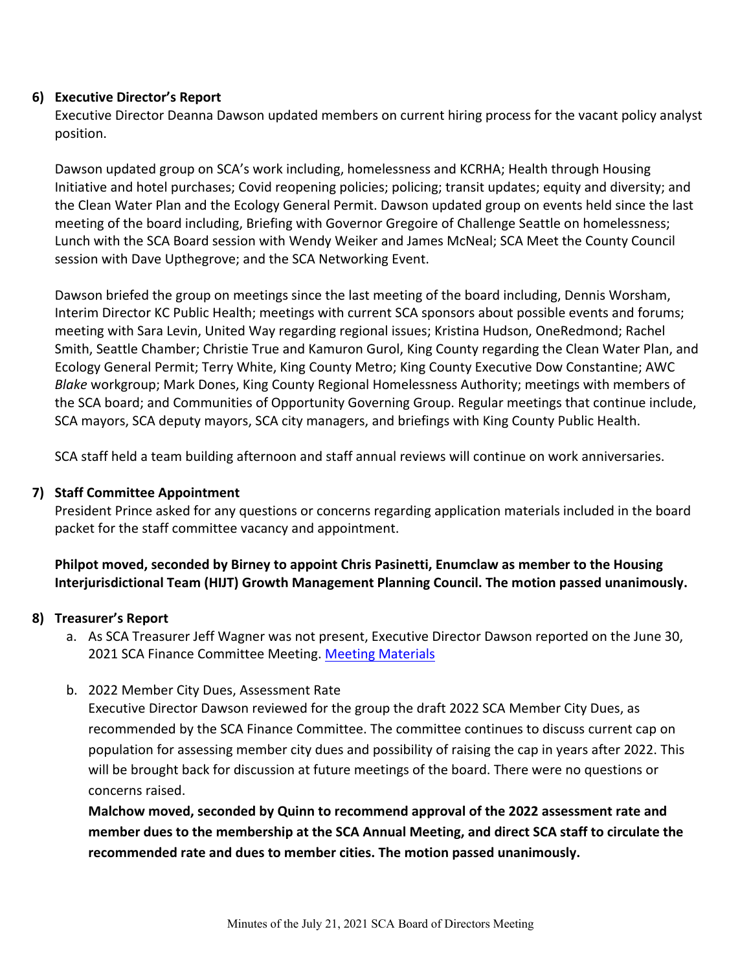## **6) Executive Director's Report**

Executive Director Deanna Dawson updated members on current hiring process for the vacant policy analyst position.

Dawson updated group on SCA's work including, homelessness and KCRHA; Health through Housing Initiative and hotel purchases; Covid reopening policies; policing; transit updates; equity and diversity; and the Clean Water Plan and the Ecology General Permit. Dawson updated group on events held since the last meeting of the board including, Briefing with Governor Gregoire of Challenge Seattle on homelessness; Lunch with the SCA Board session with Wendy Weiker and James McNeal; SCA Meet the County Council session with Dave Upthegrove; and the SCA Networking Event.

Dawson briefed the group on meetings since the last meeting of the board including, Dennis Worsham, Interim Director KC Public Health; meetings with current SCA sponsors about possible events and forums; meeting with Sara Levin, United Way regarding regional issues; Kristina Hudson, OneRedmond; Rachel Smith, Seattle Chamber; Christie True and Kamuron Gurol, King County regarding the Clean Water Plan, and Ecology General Permit; Terry White, King County Metro; King County Executive Dow Constantine; AWC *Blake* workgroup; Mark Dones, King County Regional Homelessness Authority; meetings with members of the SCA board; and Communities of Opportunity Governing Group. Regular meetings that continue include, SCA mayors, SCA deputy mayors, SCA city managers, and briefings with King County Public Health.

SCA staff held a team building afternoon and staff annual reviews will continue on work anniversaries.

## **7) Staff Committee Appointment**

President Prince asked for any questions or concerns regarding application materials included in the board packet for the staff committee vacancy and appointment.

**Philpot moved, seconded by Birney to appoint Chris Pasinetti, Enumclaw as member to the Housing Interjurisdictional Team (HIJT) Growth Management Planning Council. The motion passed unanimously.** 

## **8) Treasurer's Report**

- a. As SCA Treasurer Jeff Wagner was not present, Executive Director Dawson reported on the June 30, 2021 SCA Finance Committee Meeting. [Meeting Materials](http://soundcities.org/wp-content/uploads/2021/07/June-29-2021-SCA-Finance-Committee-Packet.pdf)
- b. 2022 Member City Dues, Assessment Rate

Executive Director Dawson reviewed for the group the draft 2022 SCA Member City Dues, as recommended by the SCA Finance Committee. The committee continues to discuss current cap on population for assessing member city dues and possibility of raising the cap in years after 2022. This will be brought back for discussion at future meetings of the board. There were no questions or concerns raised.

**Malchow moved, seconded by Quinn to recommend approval of the 2022 assessment rate and member dues to the membership at the SCA Annual Meeting, and direct SCA staff to circulate the recommended rate and dues to member cities. The motion passed unanimously.**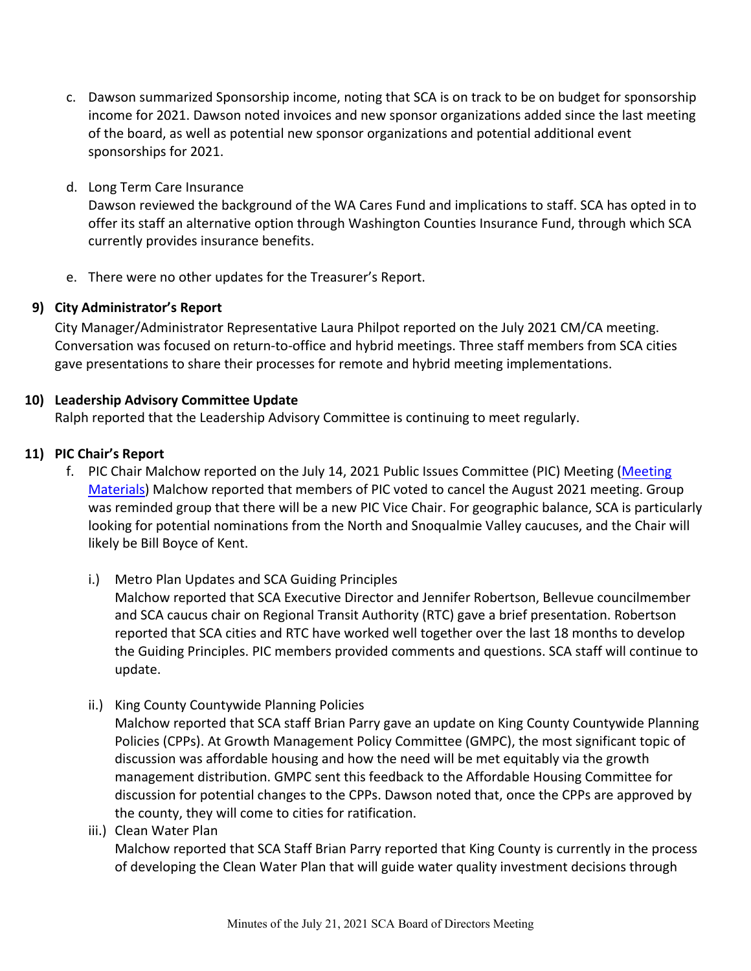- c. Dawson summarized Sponsorship income, noting that SCA is on track to be on budget for sponsorship income for 2021. Dawson noted invoices and new sponsor organizations added since the last meeting of the board, as well as potential new sponsor organizations and potential additional event sponsorships for 2021.
- d. Long Term Care Insurance

Dawson reviewed the background of the WA Cares Fund and implications to staff. SCA has opted in to offer its staff an alternative option through Washington Counties Insurance Fund, through which SCA currently provides insurance benefits.

e. There were no other updates for the Treasurer's Report.

## **9) City Administrator's Report**

City Manager/Administrator Representative Laura Philpot reported on the July 2021 CM/CA meeting. Conversation was focused on return-to-office and hybrid meetings. Three staff members from SCA cities gave presentations to share their processes for remote and hybrid meeting implementations.

## **10) Leadership Advisory Committee Update**

Ralph reported that the Leadership Advisory Committee is continuing to meet regularly.

## **11) PIC Chair's Report**

- f. PIC Chair Malchow reported on the July 14, 2021 Public Issues Committee (PIC) Meeting (Meeting [Materials\)](http://soundcities.org/wp-content/uploads/2021/07/July-14-2021-SCA-PIC-Packet.pdf) Malchow reported that members of PIC voted to cancel the August 2021 meeting. Group was reminded group that there will be a new PIC Vice Chair. For geographic balance, SCA is particularly looking for potential nominations from the North and Snoqualmie Valley caucuses, and the Chair will likely be Bill Boyce of Kent.
	- i.) Metro Plan Updates and SCA Guiding Principles Malchow reported that SCA Executive Director and Jennifer Robertson, Bellevue councilmember and SCA caucus chair on Regional Transit Authority (RTC) gave a brief presentation. Robertson reported that SCA cities and RTC have worked well together over the last 18 months to develop the Guiding Principles. PIC members provided comments and questions. SCA staff will continue to update.
	- ii.) King County Countywide Planning Policies

Malchow reported that SCA staff Brian Parry gave an update on King County Countywide Planning Policies (CPPs). At Growth Management Policy Committee (GMPC), the most significant topic of discussion was affordable housing and how the need will be met equitably via the growth management distribution. GMPC sent this feedback to the Affordable Housing Committee for discussion for potential changes to the CPPs. Dawson noted that, once the CPPs are approved by the county, they will come to cities for ratification.

iii.) Clean Water Plan

Malchow reported that SCA Staff Brian Parry reported that King County is currently in the process of developing the Clean Water Plan that will guide water quality investment decisions through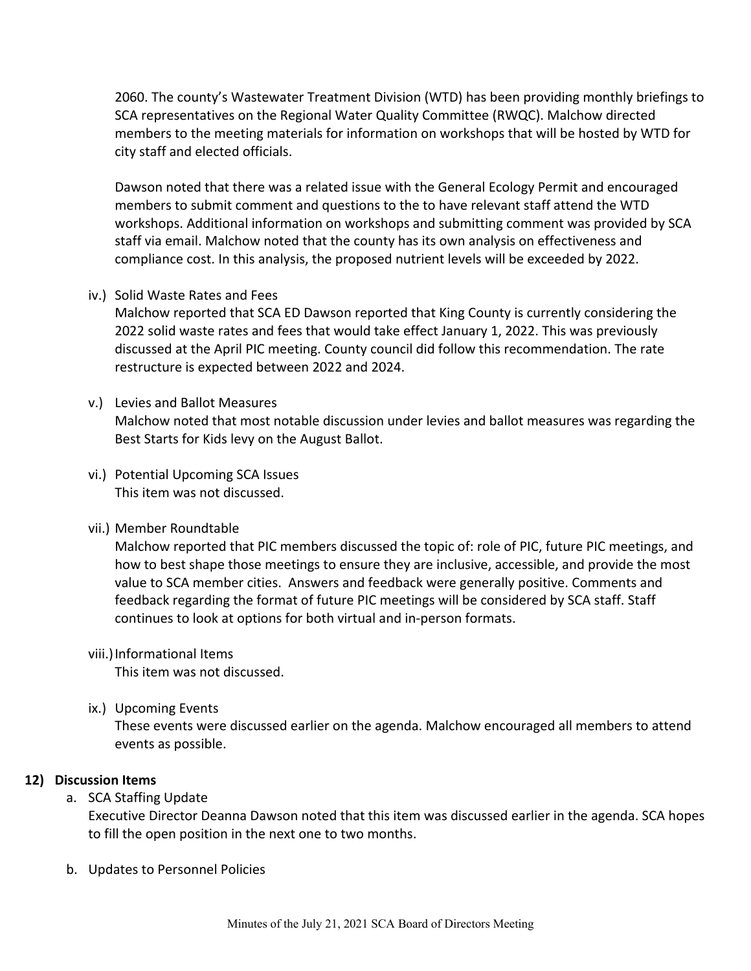2060. The county's Wastewater Treatment Division (WTD) has been providing monthly briefings to SCA representatives on the Regional Water Quality Committee (RWQC). Malchow directed members to the meeting materials for information on workshops that will be hosted by WTD for city staff and elected officials.

Dawson noted that there was a related issue with the General Ecology Permit and encouraged members to submit comment and questions to the to have relevant staff attend the WTD workshops. Additional information on workshops and submitting comment was provided by SCA staff via email. Malchow noted that the county has its own analysis on effectiveness and compliance cost. In this analysis, the proposed nutrient levels will be exceeded by 2022.

iv.) Solid Waste Rates and Fees

Malchow reported that SCA ED Dawson reported that King County is currently considering the 2022 solid waste rates and fees that would take effect January 1, 2022. This was previously discussed at the April PIC meeting. County council did follow this recommendation. The rate restructure is expected between 2022 and 2024.

v.) Levies and Ballot Measures

Malchow noted that most notable discussion under levies and ballot measures was regarding the Best Starts for Kids levy on the August Ballot.

- vi.) Potential Upcoming SCA Issues This item was not discussed.
- vii.) Member Roundtable

Malchow reported that PIC members discussed the topic of: role of PIC, future PIC meetings, and how to best shape those meetings to ensure they are inclusive, accessible, and provide the most value to SCA member cities. Answers and feedback were generally positive. Comments and feedback regarding the format of future PIC meetings will be considered by SCA staff. Staff continues to look at options for both virtual and in-person formats.

viii.)Informational Items

This item was not discussed.

ix.) Upcoming Events

These events were discussed earlier on the agenda. Malchow encouraged all members to attend events as possible.

## **12) Discussion Items**

a. SCA Staffing Update

Executive Director Deanna Dawson noted that this item was discussed earlier in the agenda. SCA hopes to fill the open position in the next one to two months.

b. Updates to Personnel Policies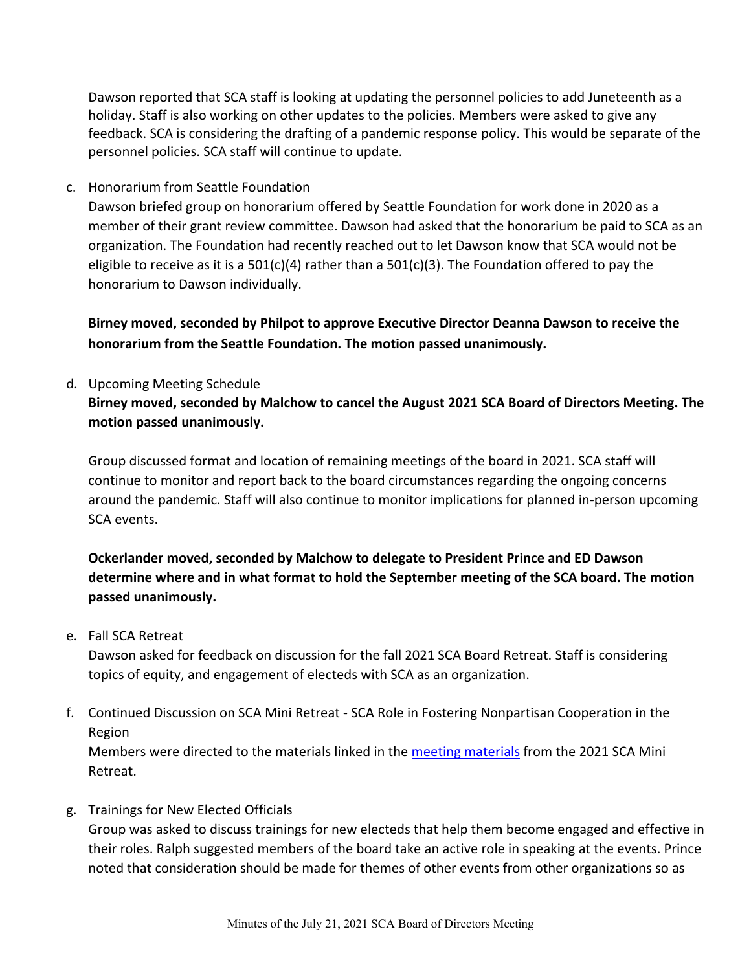Dawson reported that SCA staff is looking at updating the personnel policies to add Juneteenth as a holiday. Staff is also working on other updates to the policies. Members were asked to give any feedback. SCA is considering the drafting of a pandemic response policy. This would be separate of the personnel policies. SCA staff will continue to update.

c. Honorarium from Seattle Foundation

Dawson briefed group on honorarium offered by Seattle Foundation for work done in 2020 as a member of their grant review committee. Dawson had asked that the honorarium be paid to SCA as an organization. The Foundation had recently reached out to let Dawson know that SCA would not be eligible to receive as it is a 501(c)(4) rather than a 501(c)(3). The Foundation offered to pay the honorarium to Dawson individually.

**Birney moved, seconded by Philpot to approve Executive Director Deanna Dawson to receive the honorarium from the Seattle Foundation. The motion passed unanimously.** 

d. Upcoming Meeting Schedule

# **Birney moved, seconded by Malchow to cancel the August 2021 SCA Board of Directors Meeting. The motion passed unanimously.**

Group discussed format and location of remaining meetings of the board in 2021. SCA staff will continue to monitor and report back to the board circumstances regarding the ongoing concerns around the pandemic. Staff will also continue to monitor implications for planned in-person upcoming SCA events.

# **Ockerlander moved, seconded by Malchow to delegate to President Prince and ED Dawson determine where and in what format to hold the September meeting of the SCA board. The motion passed unanimously.**

e. Fall SCA Retreat

Dawson asked for feedback on discussion for the fall 2021 SCA Board Retreat. Staff is considering topics of equity, and engagement of electeds with SCA as an organization.

f. Continued Discussion on SCA Mini Retreat - SCA Role in Fostering Nonpartisan Cooperation in the Region

Members were directed to the materials linked in the [meeting materials](http://soundcities.org/wp-content/uploads/2021/07/July-21-2021-SCA-Board-of-Directors-Meeting-Packet.pdf) from the 2021 SCA Mini Retreat.

g. Trainings for New Elected Officials

Group was asked to discuss trainings for new electeds that help them become engaged and effective in their roles. Ralph suggested members of the board take an active role in speaking at the events. Prince noted that consideration should be made for themes of other events from other organizations so as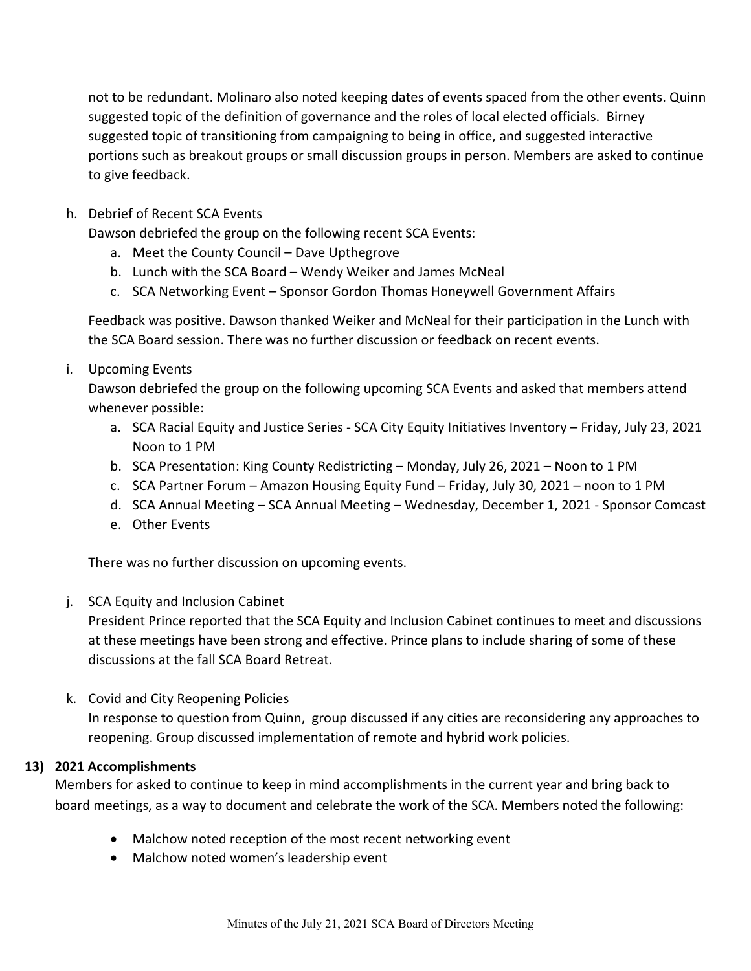not to be redundant. Molinaro also noted keeping dates of events spaced from the other events. Quinn suggested topic of the definition of governance and the roles of local elected officials. Birney suggested topic of transitioning from campaigning to being in office, and suggested interactive portions such as breakout groups or small discussion groups in person. Members are asked to continue to give feedback.

## h. Debrief of Recent SCA Events

Dawson debriefed the group on the following recent SCA Events:

- a. Meet the County Council Dave Upthegrove
- b. Lunch with the SCA Board Wendy Weiker and James McNeal
- c. SCA Networking Event Sponsor Gordon Thomas Honeywell Government Affairs

Feedback was positive. Dawson thanked Weiker and McNeal for their participation in the Lunch with the SCA Board session. There was no further discussion or feedback on recent events.

i. Upcoming Events

Dawson debriefed the group on the following upcoming SCA Events and asked that members attend whenever possible:

- a. SCA Racial Equity and Justice Series SCA City Equity Initiatives Inventory Friday, July 23, 2021 Noon to 1 PM
- b. SCA Presentation: King County Redistricting Monday, July 26, 2021 Noon to 1 PM
- c. SCA Partner Forum Amazon Housing Equity Fund Friday, July 30, 2021 noon to 1 PM
- d. SCA Annual Meeting SCA Annual Meeting Wednesday, December 1, 2021 Sponsor Comcast
- e. Other Events

There was no further discussion on upcoming events.

#### j. SCA Equity and Inclusion Cabinet

President Prince reported that the SCA Equity and Inclusion Cabinet continues to meet and discussions at these meetings have been strong and effective. Prince plans to include sharing of some of these discussions at the fall SCA Board Retreat.

k. Covid and City Reopening Policies

In response to question from Quinn, group discussed if any cities are reconsidering any approaches to reopening. Group discussed implementation of remote and hybrid work policies.

#### **13) 2021 Accomplishments**

Members for asked to continue to keep in mind accomplishments in the current year and bring back to board meetings, as a way to document and celebrate the work of the SCA. Members noted the following:

- Malchow noted reception of the most recent networking event
- Malchow noted women's leadership event